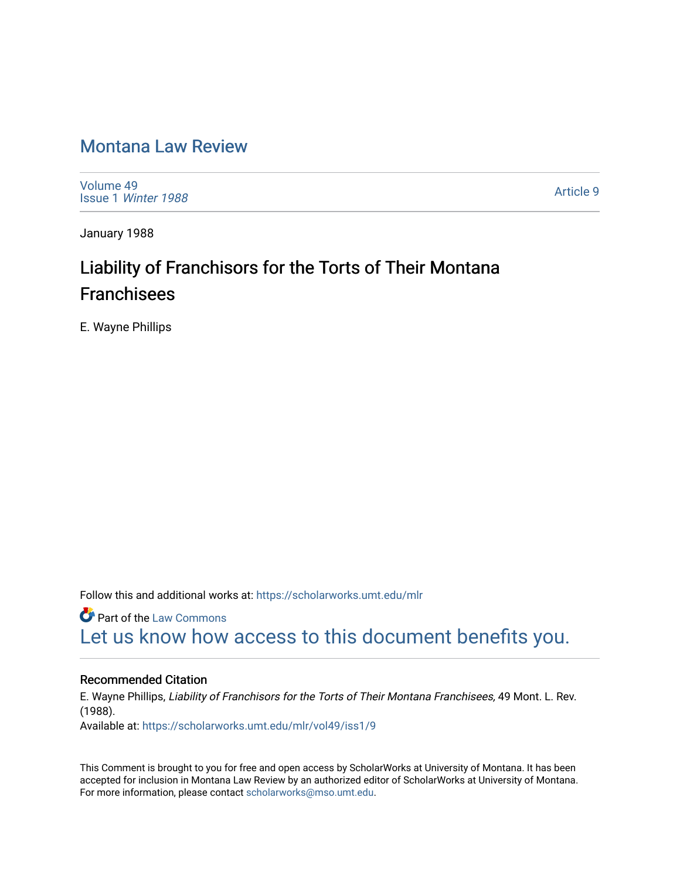# [Montana Law Review](https://scholarworks.umt.edu/mlr)

[Volume 49](https://scholarworks.umt.edu/mlr/vol49) Issue 1 [Winter 1988](https://scholarworks.umt.edu/mlr/vol49/iss1) 

[Article 9](https://scholarworks.umt.edu/mlr/vol49/iss1/9) 

January 1988

# Liability of Franchisors for the Torts of Their Montana Franchisees

E. Wayne Phillips

Follow this and additional works at: [https://scholarworks.umt.edu/mlr](https://scholarworks.umt.edu/mlr?utm_source=scholarworks.umt.edu%2Fmlr%2Fvol49%2Fiss1%2F9&utm_medium=PDF&utm_campaign=PDFCoverPages) 

**Part of the [Law Commons](http://network.bepress.com/hgg/discipline/578?utm_source=scholarworks.umt.edu%2Fmlr%2Fvol49%2Fiss1%2F9&utm_medium=PDF&utm_campaign=PDFCoverPages)** [Let us know how access to this document benefits you.](https://goo.gl/forms/s2rGfXOLzz71qgsB2) 

#### Recommended Citation

E. Wayne Phillips, Liability of Franchisors for the Torts of Their Montana Franchisees, 49 Mont. L. Rev. (1988). Available at: [https://scholarworks.umt.edu/mlr/vol49/iss1/9](https://scholarworks.umt.edu/mlr/vol49/iss1/9?utm_source=scholarworks.umt.edu%2Fmlr%2Fvol49%2Fiss1%2F9&utm_medium=PDF&utm_campaign=PDFCoverPages) 

This Comment is brought to you for free and open access by ScholarWorks at University of Montana. It has been accepted for inclusion in Montana Law Review by an authorized editor of ScholarWorks at University of Montana. For more information, please contact [scholarworks@mso.umt.edu.](mailto:scholarworks@mso.umt.edu)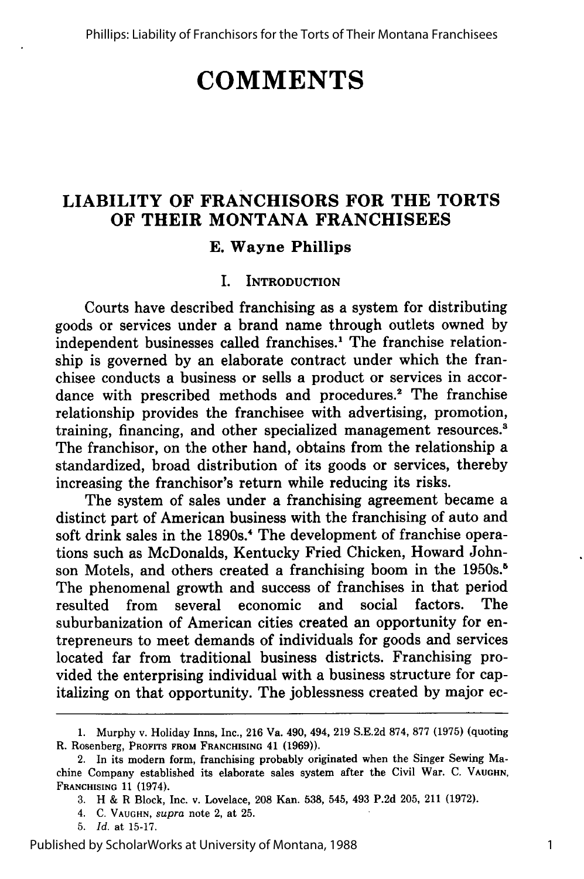# **COMMENTS**

## **LIABILITY OF FRANCHISORS FOR THE TORTS OF THEIR MONTANA FRANCHISEES**

#### **E. Wayne Phillips**

#### I. INTRODUCTION

Courts have described franchising as a system for distributing goods or services under a brand name through outlets owned **by** independent businesses called franchises.<sup>1</sup> The franchise relationship is governed **by** an elaborate contract under which the franchisee conducts a business or sells a product or services in accordance with prescribed methods and procedures.<sup>2</sup> The franchise relationship provides the franchisee with advertising, promotion, training, financing, and other specialized management resources.' The franchisor, on the other hand, obtains from the relationship a standardized, broad distribution of its goods or services, thereby increasing the franchisor's return while reducing its risks.

The system of sales under a franchising agreement became a distinct part of American business with the franchising of auto and soft drink sales in the 1890s.<sup>4</sup> The development of franchise operations such as McDonalds, Kentucky Fried Chicken, Howard Johnson Motels, and others created a franchising boom in the 1950s.<sup>5</sup> The phenomenal growth and success of franchises in that period resulted from several economic and social factors. The suburbanization of American cities created an opportunity for entrepreneurs to meet demands of individuals for goods and services located far from traditional business districts. Franchising provided the enterprising individual with a business structure for capitalizing on that opportunity. The joblessness created **by** major ec-

**<sup>1.</sup>** Murphy v. Holiday Inns, Inc., **216** Va. 490, 494, **219 S.E.2d 874, 877 (1975)** (quoting R. Rosenberg, **PROFITS FROM FRANCHISING** 41 **(1969)).**

<sup>2.</sup> In its modern form, franchising probably originated when the Singer Sewing Machine Company established its elaborate sales system after the Civil War. **C. VAUGHN, FRANCHISING 11** (1974).

**<sup>3.</sup>** H **&** R Block, Inc. v. Lovelace, **208** Kan. **538,** 545, 493 **P.2d 205,** 211 **(1972).**

<sup>4.</sup> **C. VAUGHN,** *supra* note 2, at **25.**

**<sup>5.</sup>** *Id.* at **15-17.**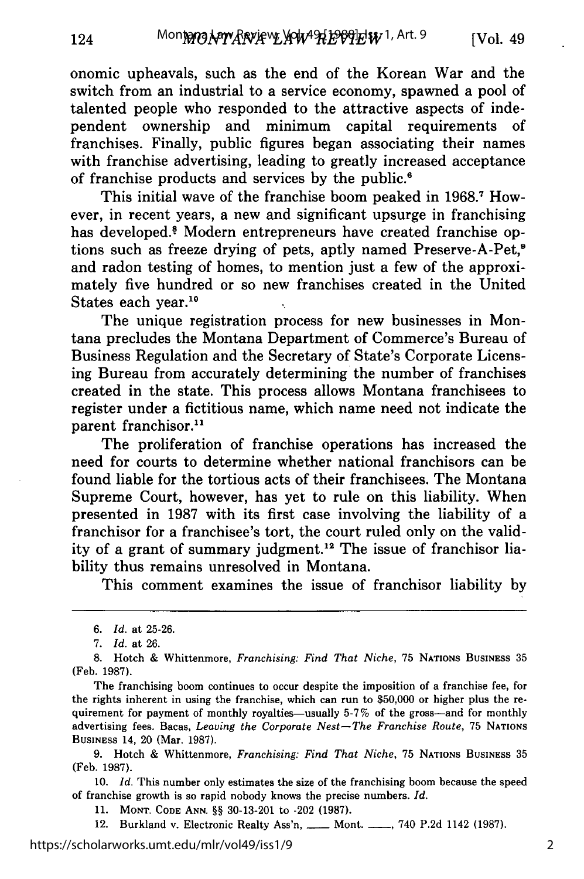onomic upheavals, such as the end of the Korean War and the switch from an industrial to a service economy, spawned a pool of talented people who responded to the attractive aspects of independent ownership and minimum capital requirements of franchises. Finally, public figures began associating their names with franchise advertising, leading to greatly increased acceptance of franchise products and services by the public.'

This initial wave of the franchise boom peaked in 1968.<sup>7</sup> However, in recent years, a new and significant upsurge in franchising has developed.<sup>8</sup> Modern entrepreneurs have created franchise options such as freeze drying of pets, aptly named Preserve-A-Pet.<sup>9</sup> and radon testing of homes, to mention just a few of the approximately five hundred or so new franchises created in the United States each year.<sup>10</sup>

The unique registration process for new businesses in Montana precludes the Montana Department of Commerce's Bureau of Business Regulation and the Secretary of State's Corporate Licensing Bureau from accurately determining the number of franchises created in the state. This process allows Montana franchisees to register under a fictitious name, which name need not indicate the parent franchisor.<sup>11</sup>

The proliferation of franchise operations has increased the need for courts to determine whether national franchisors can be found liable for the tortious acts of their franchisees. The Montana Supreme Court, however, has yet to rule on this liability. When presented in 1987 with its first case involving the liability of a franchisor for a franchisee's tort, the court ruled only on the validity of a grant of summary judgment.<sup>12</sup> The issue of franchisor liability thus remains unresolved in Montana.

This comment examines the issue of franchisor liability by

12. Burkland v. Electronic Realty Ass'n, **\_\_\_ Mont.** \_\_\_, 740 P.2d 1142 (1987).

*<sup>6.</sup> Id.* at 25-26.

<sup>7.</sup> *Id.* at 26.

**<sup>8.</sup>** Hotch & Whittenmore, *Franchising: Find That Niche,* 75 **NATIONS** BUSINESS 35 (Feb. 1987).

The franchising boom continues to occur despite the imposition of a franchise fee, for the rights inherent in using the franchise, which can run to \$50,000 or higher plus the requirement for payment of monthly royalties-usually 5-7% of the gross-and for monthly advertising fees. Bacas, *Leaving the Corporate Nest-The Franchise Route,* <sup>75</sup>**NATIONS BUSINESS** 14, 20 (Mar. 1987).

<sup>9.</sup> Hotch & Whittenmore, *Franchising: Find That Niche,* 75 NATIONS BUSINESS 35 (Feb. 1987).

<sup>10.</sup> *Id.* This number only estimates the size of the franchising boom because the speed of franchise growth is so rapid nobody knows the precise numbers. *Id.*

<sup>11.</sup> **MONT. CODE ANN.** §§ 30-13-201 to -202 (1987).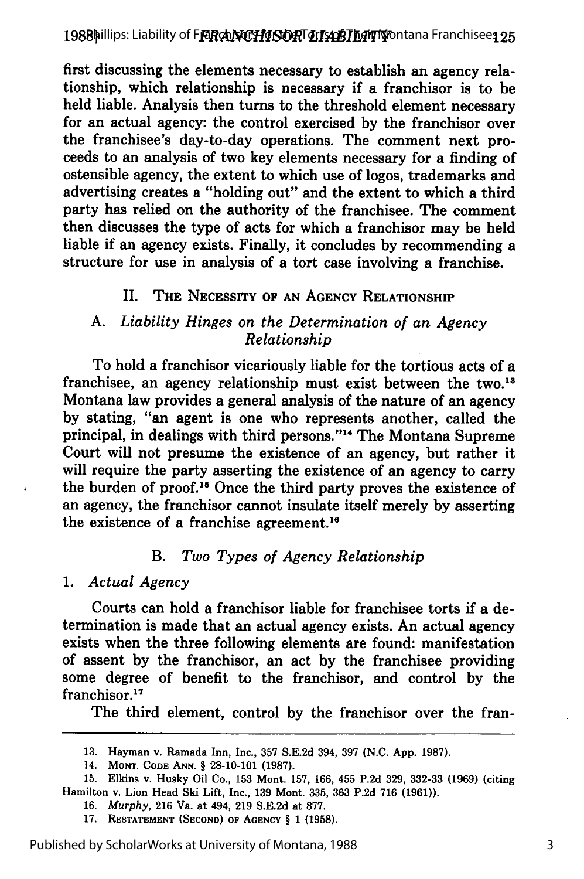first discussing the elements necessary to establish an agency relationship, which relationship is necessary if a franchisor is to be held liable. Analysis then turns to the threshold element necessary for an actual agency: the control exercised by the franchisor over the franchisee's day-to-day operations. The comment next proceeds to an analysis of two key elements necessary for a finding of ostensible agency, the extent to which use of logos, trademarks and advertising creates a "holding out" and the extent to which a third party has relied on the authority of the franchisee. The comment then discusses the type of acts for which a franchisor may be held liable if an agency exists. Finally, it concludes by recommending a structure for use in analysis of a tort case involving a franchise.

### II. THE **NECESSITY** OF **AN** AGENCY RELATIONSHIP

#### *A. Liability Hinges on the Determination of an Agency Relationship*

To hold a franchisor vicariously liable for the tortious acts of a franchisee, an agency relationship must exist between the two.<sup>13</sup> Montana law provides a general analysis of the nature of an agency by stating, "an agent is one who represents another, called the principal, in dealings with third persons."<sup>14</sup> The Montana Supreme Court will not presume the existence of an agency, but rather it will require the party asserting the existence of an agency to carry the burden of proof.<sup>15</sup> Once the third party proves the existence of an agency, the franchisor cannot insulate itself merely by asserting the existence of a franchise agreement.<sup>16</sup>

### *B. Two Types of Agency Relationship*

1. *Actual Agency*

Courts can hold a franchisor liable for franchisee torts if a determination is made that an actual agency exists. An actual agency exists when the three following elements are found: manifestation of assent by the franchisor, an act by the franchisee providing some degree of benefit to the franchisor, and control by the franchisor.<sup>17</sup>

The third element, control by the franchisor over the fran-

**<sup>13.</sup>** Hayman v. Ramada Inn, Inc., **357** S.E.2d 394, **397** (N.C. App. 1987).

<sup>14.</sup> **MONT. CODE ANN.** § 28-10-101 **(1987).**

<sup>15.</sup> Elkins v. Husky Oil Co., **153** Mont. **157, 166,** 455 P.2d **329, 332-33 (1969)** (citing Hamilton v. Lion Head Ski Lift, Inc., **139** Mont. **335, 363** P.2d **716 (1961)).**

<sup>16.</sup> *Murphy,* **216** Va. at 494, **219** S.E.2d at 877.

**<sup>17.</sup> RESTATEMENT (SECOND) OF AGENCY** § **1 (1958).**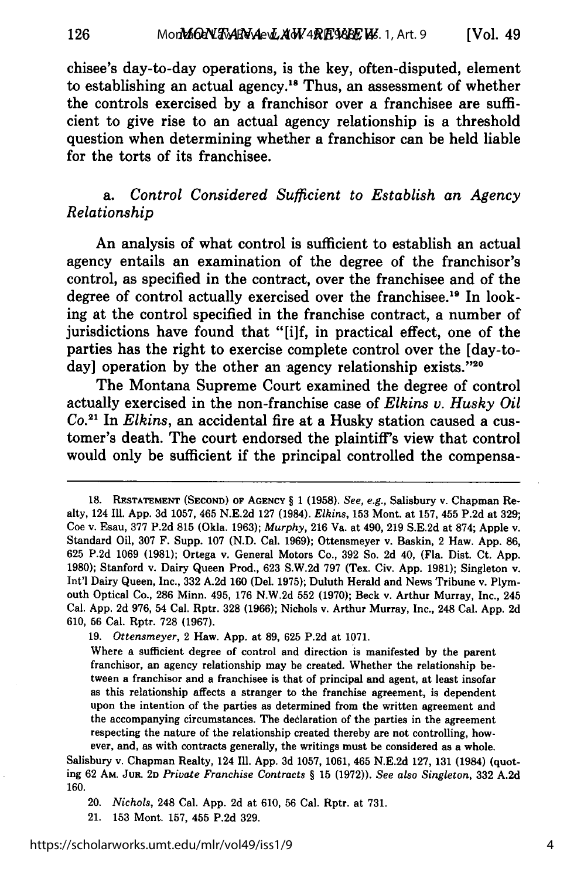chisee's day-to-day operations, is the key, often-disputed, element to establishing an actual agency."s Thus, an assessment of whether the controls exercised **by** a franchisor over a franchisee are sufficient to give rise to an actual agency relationship is a threshold question when determining whether a franchisor can be held liable for the torts of its franchisee.

126

### a. *Control Considered Sufficient to Establish an Agency Relationship*

An analysis of what control is sufficient to establish an actual agency entails an examination of the degree of the franchisor's control, as specified in the contract, over the franchisee and of the degree of control actually exercised over the franchisee.<sup>19</sup> In looking at the control specified in the franchise contract, a number of jurisdictions have found that "[i]f, in practical effect, one of the parties has the right to exercise complete control over the [day-today] operation by the other an agency relationship exists."20

The Montana Supreme Court examined the degree of control actually exercised in the non-franchise case of *Elkins v. Husky Oil Co. <sup>21</sup>*In *Elkins,* an accidental fire at a Husky station caused a customer's death. The court endorsed the plaintiff's view that control would only be sufficient if the principal controlled the compensa-

Salisbury v. Chapman Realty, 124 **111.** App. **3d** 1057, 1061, 465 N.E.2d 127, **131** (1984) (quoting **62** AM. **JUR. 2D** *Private Franchise Contracts §* **15** (1972)). *See also Singleton,* **332** A.2d 160.

20. *Nichols,* 248 Cal. App. **2d** at 610, **56** Cal. Rptr. at 731.

21. 153 Mont. 157, 455 P.2d **329.**

**<sup>18.</sup> RESTATEMENT (SECOND) OF AGENCY** § 1 **(1958).** *See, e.g.,* Salisbury **v.** Chapman Realty, 124 Ill. App. 3d 1057, 465 N.E.2d **127** (1984). *Elkins,* **153** Mont. at 157, 455 P.2d at **329;** Coe v. Esau, **377** P.2d **815** (Okla. **1963);** *Murphy,* **216** Va. at 490, **219** S.E.2d at **874;** Apple v. Standard Oil, **307** F. Supp. 107 (N.D. Cal. **1969);** Ottensmeyer v. Baskin, 2 Haw. App. **86, 625** P.2d 1069 **(1981);** Ortega v. General Motors Co., **392** So. **2d** 40, (Fla. Dist. Ct. App. **1980);** Stanford v. Dairy Queen Prod., **623** S.W.2d **797** (Tex. Civ. App. **1981);** Singleton v. Int'l Dairy Queen, Inc., **332** A.2d **160** (Del. 1975); Duluth Herald and News Tribune v. Plymouth Optical Co., **286** Minn. 495, 176 **N.W.2d 552 (1970);** Beck v. Arthur Murray, Inc., 245 Cal. App. **2d** 976, 54 Cal. Rptr. **328 (1966);** Nichols v. Arthur Murray, Inc., 248 Cal. App. **2d** 610, **56** Cal. Rptr. **728** (1967).

**<sup>19.</sup>** *Ottensmeyer,* 2 Haw. App. at **89, 625** P.2d at 1071.

Where a sufficient degree of control and direction is manifested by the parent franchisor, an agency relationship may be created. Whether the relationship between a franchisor and a franchisee is that of principal and agent, at least insofar as this relationship affects a stranger to the franchise agreement, is dependent upon the intention of the parties as determined from the written agreement and the accompanying circumstances. The declaration of the parties in the agreement respecting the nature of the relationship created thereby are not controlling, however, and, as with contracts generally, the writings must be considered as a whole.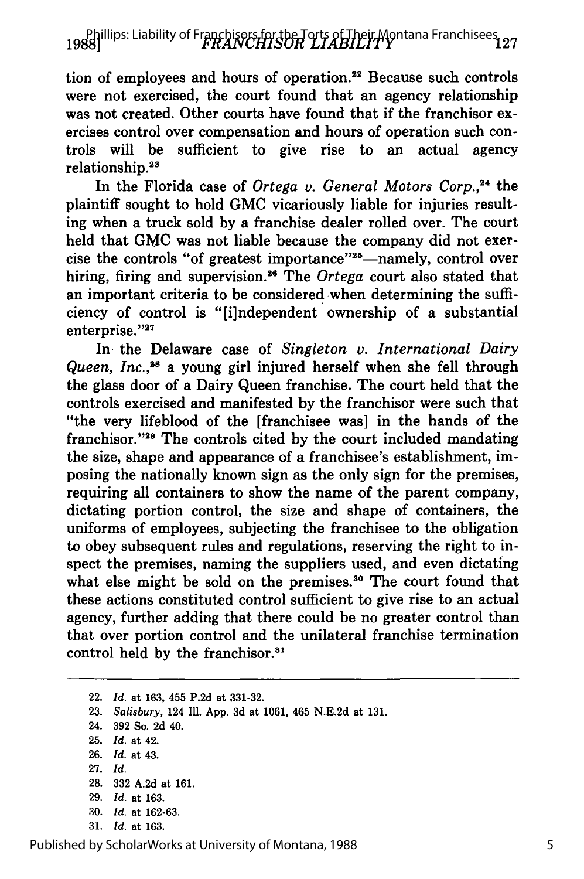# 1988] IP Phillips: Liability of Franchisers for the Torts of Their Montana Franchisees<br>1988]

tion of employees and hours of operation.<sup>22</sup> Because such controls were not exercised, the court found that an agency relationship was not created. Other courts have found that if the franchisor exercises control over compensation and hours of operation such controls will be sufficient to give rise to an actual agency relationship.<sup>23</sup>

In the Florida case of *Ortega v. General Motors Corp.,24* the plaintiff sought to hold GMC vicariously liable for injuries resulting when a truck sold by a franchise dealer rolled over. The court held that GMC was not liable because the company did not exercise the controls "of greatest importance"<sup>25</sup>-namely, control over hiring, firing and supervision.<sup>26</sup> The *Ortega* court also stated that an important criteria to be considered when determining the sufficiency of control is "[i]ndependent ownership of a substantial  $enterprise." <sup>27</sup>$ 

In the Delaware case of *Singleton v. International Dairy Queen, Inc. ,28* a young girl injured herself when she fell through the glass door of a Dairy Queen franchise. The court held that the controls exercised and manifested by the franchisor were such that "the very lifeblood of the [franchisee was] in the hands of the franchisor." $29$  The controls cited by the court included mandating the size, shape and appearance of a franchisee's establishment, imposing the nationally known sign as the only sign for the premises, requiring all containers to show the name of the parent company, dictating portion control, the size and shape of containers, the uniforms of employees, subjecting the franchisee to the obligation to obey subsequent rules and regulations, reserving the right to inspect the premises, naming the suppliers used, and even dictating what else might be sold on the premises.<sup>30</sup> The court found that these actions constituted control sufficient to give rise to an actual agency, further adding that there could be no greater control than that over portion control and the unilateral franchise termination control held by the franchisor.<sup>31</sup>

22. *Id.* at 163, 455 P.2d at 331-32.

23. *Salisbury,* 124 Ill. App. 3d at 1061, 465 N.E.2d at 131.

24. 392 So. 2d 40.

25. *Id.* at 42.

26. *Id.* at 43.

27. *Id.*

- 28. 332 A.2d at 161.
- 29. *Id.* at 163.
- 30. *Id.* at 162-63.
- 31. *Id.* at 163.

Published by ScholarWorks at University of Montana, 1988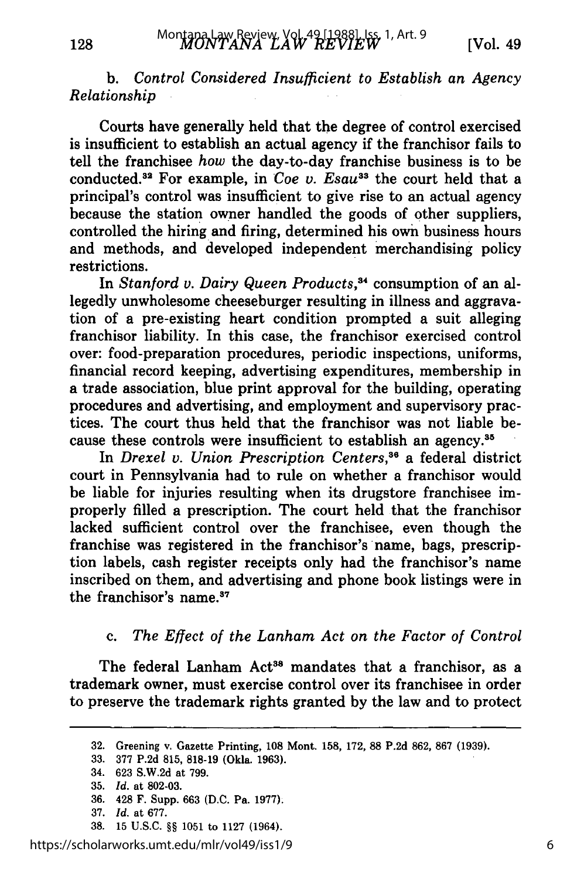b. *Control Considered Insufficient to Establish an Agency Relationship*

Courts have generally held that the degree of control exercised is insufficient to establish an actual agency if the franchisor fails to tell the franchisee *how* the day-to-day franchise business is to be conducted.<sup>32</sup> For example, in *Coe v. Esau*<sup>33</sup> the court held that a principal's control was insufficient to give rise to an actual agency because the station owner handled the goods of other suppliers, controlled the hiring and firing, determined his own business hours and methods, and developed independent merchandising policy restrictions.

In *Stanford v. Dairy Queen Products,3"* consumption of an allegedly unwholesome cheeseburger resulting in illness and aggravation of a pre-existing heart condition prompted a suit alleging franchisor liability. In this case, the franchisor exercised control over: food-preparation procedures, periodic inspections, uniforms, financial record keeping, advertising expenditures, membership in a trade association, blue print approval for the building, operating procedures and advertising, and employment and supervisory practices. The court thus held that the franchisor was not liable because these controls were insufficient to establish an agency.<sup>35</sup>

In *Drexel v. Union Prescription Centers,6* a federal district court in Pennsylvania had to rule on whether a franchisor would be liable for injuries resulting when its drugstore franchisee improperly filled a prescription. The court held that the franchisor lacked sufficient control over the franchisee, even though the franchise was registered in the franchisor's name, bags, prescription labels, cash register receipts only had the franchisor's name inscribed on them, and advertising and phone book listings were in the franchisor's **name.3 <sup>7</sup>**

#### c. *The Effect of the Lanham Act on the Factor of Control*

The federal Lanham Act<sup>38</sup> mandates that a franchisor, as a trademark owner, must exercise control over its franchisee in order to preserve the trademark rights granted by the law and to protect

38. 15 U.S.C. *§§* 1051 to 1127 (1964).

https://scholarworks.umt.edu/mlr/vol49/iss1/9

<sup>32.</sup> Greening v. Gazette Printing, **108** Mont. 158, 172, 88 P.2d 862, 867 (1939).

<sup>33. 377</sup> P.2d 815, 818-19 (Okla. 1963).

<sup>34. 623</sup> S.W.2d at 799.

<sup>35.</sup> *Id.* at 802-03.

<sup>36.</sup> 428 F. Supp. 663 (D.C. Pa. 1977).

<sup>37.</sup> *Id.* at 677.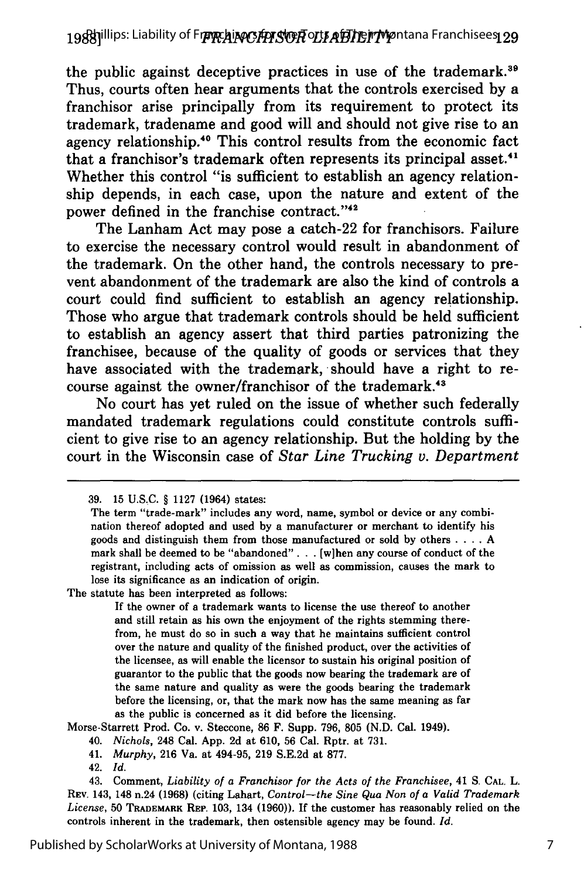the public against deceptive practices in use of the trademark.<sup>39</sup> Thus, courts often hear arguments that the controls exercised **by** a franchisor arise principally from its requirement to protect its trademark, tradename and good will and should not give rise to an agency relationship.<sup>40</sup> This control results from the economic fact that a franchisor's trademark often represents its principal asset.<sup>41</sup> Whether this control "is sufficient to establish an agency relationship depends, in each case, upon the nature and extent of the power defined in the franchise contract."<sup>42</sup>

The Lanham Act may pose a catch-22 for franchisors. Failure to exercise the necessary control would result in abandonment of the trademark. On the other hand, the controls necessary to prevent abandonment of the trademark are also the kind of controls a court could find sufficient to establish an agency relationship. Those who argue that trademark controls should be held sufficient to establish an agency assert that third parties patronizing the franchisee, because of the quality of goods or services that they have associated with the trademark, should have a right to recourse against the owner/franchisor of the trademark.<sup>43</sup>

No court has yet ruled on the issue of whether such federally mandated trademark regulations could constitute controls sufficient to give rise to an agency relationship. But the holding **by** the court in the Wisconsin case of *Star Line Trucking v. Department*

The statute has been interpreted as follows:

If the owner of a trademark wants to license the use thereof to another and still retain as his own the enjoyment of the rights stemming therefrom, he must do so in such a way that he maintains sufficient control over the nature and quality of the finished product, over the activities of the licensee, as will enable the licensor to sustain his original position of guarantor to the public that the goods now bearing the trademark are of the same nature and quality as were the goods bearing the trademark before the licensing, or, that the mark now has the same meaning as far as the public is concerned as it did before the licensing.

Morse-Starrett Prod. Co. v. Steccone, **86** F. Supp. **796, 805 (N.D.** Cal. 1949).

40. *Nichols,* 248 Cal. **App. 2d** at **610, 56** Cal. Rptr. at **731.**

41. *Murphy,* **216** Va. at 494-95, **219 S.E.2d** at **877.**

42. *Id.*

<sup>39. 15</sup> U.S.C. § 1127 (1964) states:

The term "trade-mark" includes any word, name, symbol or device or any combination thereof adopted and used by a manufacturer or merchant to identify his goods and distinguish them from those manufactured or sold by others . **. .** . A mark shall be deemed to be "abandoned". **.** . [w]hen any course of conduct of the registrant, including acts of omission as well as commission, causes the mark to lose its significance as an indication of origin.

<sup>43.</sup> Comment, *Liability of a Franchisor for the Acts of the Franchisee,* 41 **S. CAL.** L. REV. 143, 148 n.24 **(1968)** (citing Lahart, *Control-the Sine Qua Non of a Valid Trademark License,* **50 TRADEMARK REP. 103,** 134 **(1960)).** If the customer has reasonably relied on the controls inherent in the trademark, then ostensible agency may be found. *Id.*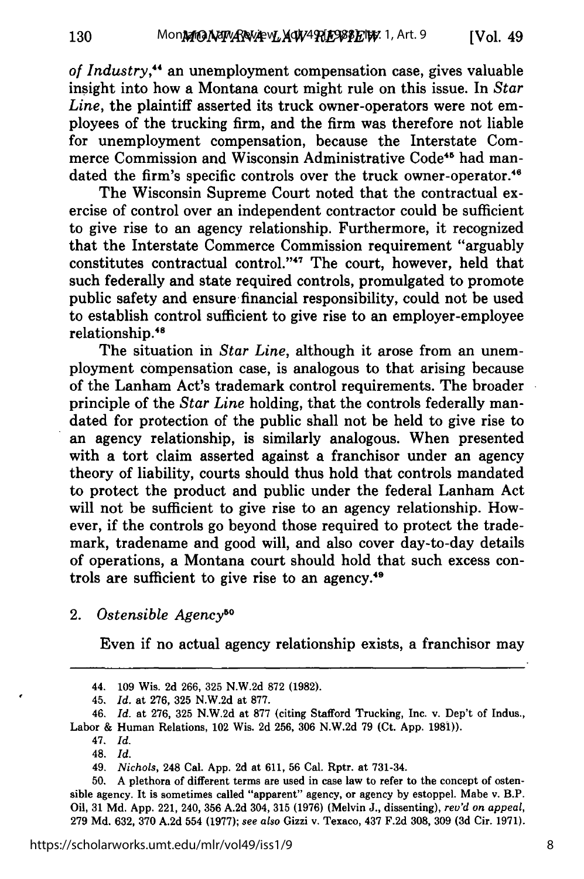*of Industry,"'* an unemployment compensation case, gives valuable insight into how a Montana court might rule on this issue. In *Star Line,* the plaintiff asserted its truck owner-operators were not employees of the trucking firm, and the firm was therefore not liable for unemployment compensation, because the Interstate Commerce Commission and Wisconsin Administrative Code<sup>45</sup> had mandated the firm's specific controls over the truck owner-operator.<sup>46</sup>

The Wisconsin Supreme Court noted that the contractual exercise of control over an independent contractor could be sufficient to give rise to an agency relationship. Furthermore, it recognized that the Interstate Commerce Commission requirement "arguably constitutes contractual control."<sup>47</sup> The court, however, held that such federally and state required controls, promulgated to promote public safety and ensure financial responsibility, could not be used to establish control sufficient to give rise to an employer-employee relationship.<sup>48</sup>

The situation in *Star Line,* although it arose from an unemployment compensation case, is analogous to that arising because of the Lanham Act's trademark control requirements. The broader principle of the *Star Line* holding, that the controls federally mandated for protection of the public shall not be held to give rise to an agency relationship, is similarly analogous. When presented with a tort claim asserted against a franchisor under an agency theory of liability, courts should thus hold that controls mandated to protect the product and public under the federal Lanham Act will not be sufficient to give rise to an agency relationship. However, if the controls go beyond those required to protect the trademark, tradename and good will, and also cover day-to-day details of operations, a Montana court should hold that such excess controls are sufficient to give rise to an agency.<sup>49</sup>

# 2. Ostensible Agency<sup>50</sup>

Even if no actual agency relationship exists, a franchisor may

<sup>44. 109</sup> Wis. 2d 266, 325 N.W.2d 872 (1982).

<sup>45.</sup> *Id.* at 276, 325 N.W.2d at 877.

*<sup>46.</sup> Id.* at 276, 325 N.W.2d at 877 (citing Stafford Trucking, Inc. v. Dep't of Indus., Labor & Human Relations, 102 Wis. 2d 256, 306 N.W.2d 79 (Ct. App. 1981)).

<sup>47.</sup> *Id.*

<sup>48.</sup> *Id.*

<sup>49.</sup> *Nichols,* 248 Cal. App. 2d at 611, 56 Cal. Rptr. at 731-34.

<sup>50.</sup> A plethora of different terms are used in case law to refer to the concept of ostensible agency. It is sometimes called "apparent" agency, or agency by estoppel. Mabe v. B.P. Oil, 31 Md. App. 221, 240, 356 A.2d 304, 315 (1976) (Melvin J., dissenting), *rev'd on appeal,* 279 Md. 632, 370 A.2d 554 (1977); *see also* Gizzi v. Texaco, 437 F.2d 308, 309 **(3d** Cir. 1971).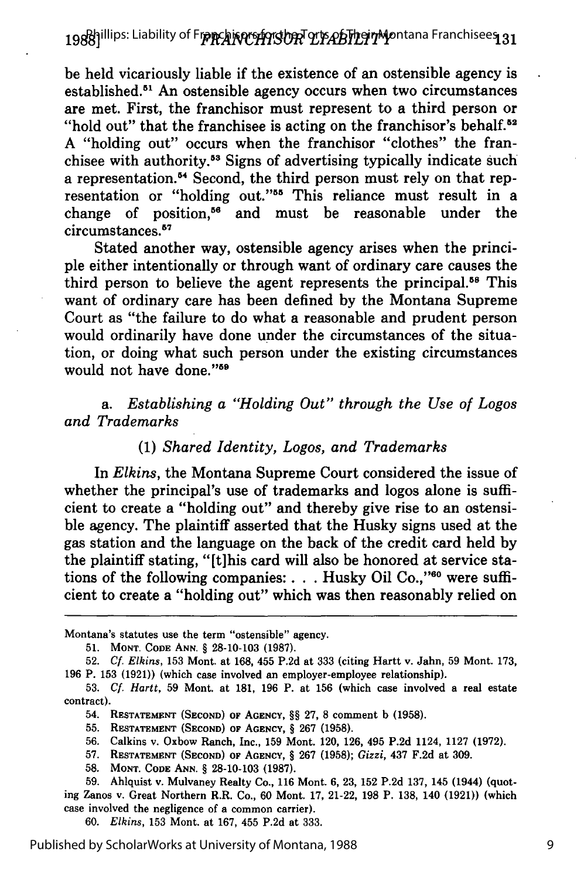be held vicariously liable if the existence of an ostensible agency is established.<sup>51</sup> An ostensible agency occurs when two circumstances are met. First, the franchisor must represent to a third person or "hold out" that the franchisee is acting on the franchisor's behalf. $52$ A "holding out" occurs when the franchisor "clothes" the franchisee with authority.53 Signs of advertising typically indicate such a representation.<sup>54</sup> Second, the third person must rely on that representation or "holding out."<sup>55</sup> This reliance must result in a change of position,<sup>56</sup> and must be reasonable under the circumstances.<sup>57</sup>

Stated another way, ostensible agency arises when the principle either intentionally or through want of ordinary care causes the third person to believe the agent represents the principal. 58 This want of ordinary care has been defined by the Montana Supreme Court as "the failure to do what a reasonable and prudent person would ordinarily have done under the circumstances of the situation, or doing what such person under the existing circumstances would not have done."<sup>59</sup>

*a. Establishing a "Holding Out" through the Use of Logos and Trademarks*

#### (1) *Shared Identity, Logos, and Trademarks*

In *Elkins,* the Montana Supreme Court considered the issue of whether the principal's use of trademarks and logos alone is sufficient to create a "holding out" and thereby give rise to an ostensible agency. The plaintiff asserted that the Husky signs used at the gas station and the language on the back of the credit card held by the plaintiff stating, "[t]his card will also be honored at service stations of the following companies: . . . Husky Oil Co.,"<sup>60</sup> were sufficient to create a "holding out" which was then reasonably relied on

Montana's statutes use the term "ostensible" agency.

<sup>51.</sup> MONT. CODE **ANN.** § 28-10-103 (1987).

<sup>52.</sup> *Cf. Elkins,* 153 Mont. at 168, 455 P.2d at 333 (citing Hartt v. Jahn, 59 Mont. 173, 196 P. 153 (1921)) (which case involved an employer-employee relationship).

<sup>53.</sup> **Cf.** *Hartt,* 59 Mont. at 181, **196** P. at 156 (which case involved a real estate contract).

<sup>54.</sup> RESTATEMENT **(SECOND)** OF **AGENCY,** §§ **27,** 8 comment b **(1958).**

<sup>55.</sup> RESTATEMENT (SECOND) OF AGENCY, § 267 (1958).

**<sup>56.</sup>** Calkins v. Oxbow Ranch, Inc., **159** Mont. 120, 126, 495 P.2d 1124, 1127 **(1972).**

**<sup>57.</sup>** RESTATEMENT **(SECOND) OF AGENCY,** § **267** (1958); *Gizzi,* 437 F.2d at **309.**

**<sup>58.</sup>** MONT. CODE ANN. § **28-10-103 (1987).**

**<sup>59.</sup>** Ahlquist v. Mulvaney Realty Co., 116 Mont. **6, 23, 152** P.2d **137,** 145 (1944) (quoting Zanos v. Great Northern R.R. Co., 60 Mont. 17, 21-22, **198** P. 138, 140 **(1921))** (which case involved the negligence of a common carrier).

<sup>60.</sup> *Elkins,* **153** Mont. at 167, 455 P.2d at **333.**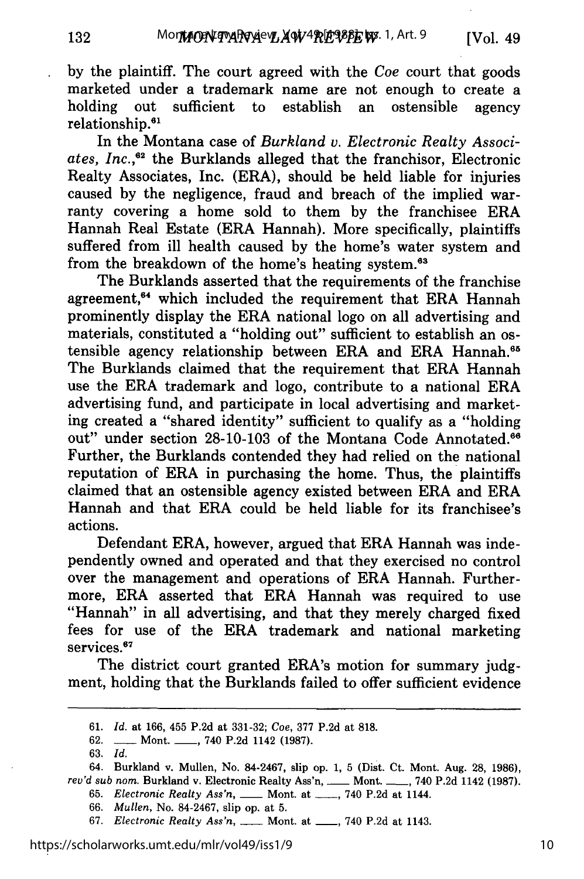by the plaintiff. The court agreed with the *Coe* court that goods marketed under a trademark name are not enough to create a holding out sufficient to establish an ostensible agency relationship.<sup>61</sup>

In the Montana case of *Burkland v. Electronic Realty Associ*ates. Inc.,<sup>62</sup> the Burklands alleged that the franchisor, Electronic Realty Associates, Inc. (ERA), should be held liable for injuries caused by the negligence, fraud and breach of the implied warranty covering a home sold to them by the franchisee ERA Hannah Real Estate (ERA Hannah). More specifically, plaintiffs suffered from ill health caused by the home's water system and from the breakdown of the home's heating system.<sup>63</sup>

The Burklands asserted that the requirements of the franchise agreement,<sup>64</sup> which included the requirement that ERA Hannah prominently display the ERA national logo on all advertising and materials, constituted a "holding out" sufficient to establish an ostensible agency relationship between ERA and ERA Hannah.<sup>65</sup> The Burklands claimed that the requirement that ERA Hannah use the ERA trademark and logo, contribute to a national ERA advertising fund, and participate in local advertising and marketing created a "shared identity" sufficient to qualify as a "holding out" under section 28-10-103 of the Montana Code Annotated.<sup>66</sup> Further, the Burklands contended they had relied on the national reputation of ERA in purchasing the home. Thus, the plaintiffs claimed that an ostensible agency existed between ERA and ERA Hannah and that ERA could be held liable for its franchisee's actions.

Defendant ERA, however, argued that ERA Hannah was independently owned and operated and that they exercised no control over the management and operations of ERA Hannah. Furthermore, ERA asserted that ERA Hannah was required to use "Hannah" in all advertising, and that they merely charged fixed fees for use of the ERA trademark and national marketing services.<sup>67</sup>

The district court granted ERA's motion for summary judgment, holding that the Burklands failed to offer sufficient evidence

63. *Id.*

132

<sup>61.</sup> *Id.* at 166, 455 P.2d at 331-32; *Coe,* 377 P.2d at 818.

<sup>62.</sup> **-----** Mont. **-----**, 740 P.2d 1142 (1987).

<sup>64.</sup> Burkland v. Mullen, No. 84-2467, slip op. 1, 5 (Dist. Ct. Mont. Aug. 28, 1986), *rev'd sub nom.* Burkland v. Electronic Realty Ass'n, **-** Mont. **-** , 740 P.2d 1142 (1987).

<sup>65.</sup> *Electronic Realty Ass'n*, **\_\_\_\_** Mont. at \_\_\_\_, 740 P.2d at 1144.

<sup>66.</sup> *Mullen,* No. 84-2467, slip op. at 5.

<sup>67.</sup> *Electronic Realty Ass'n, \_\_* Mont. at \_\_, 740 P.2d at 1143.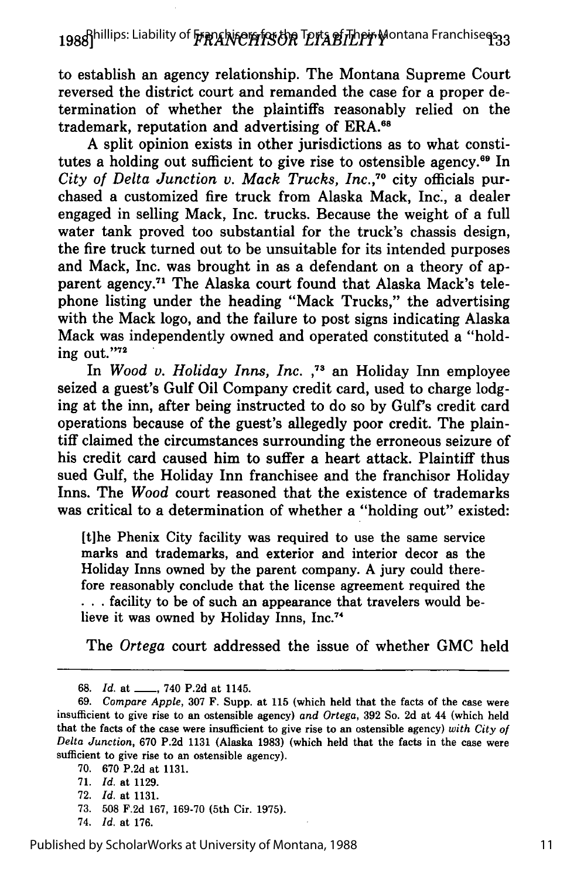to establish an agency relationship. The Montana Supreme Court reversed the district court and remanded the case for a proper determination of whether the plaintiffs reasonably relied on the trademark, reputation and advertising of ERA.<sup>68</sup>

A split opinion exists in other jurisdictions as to what constitutes a holding out sufficient to give rise to ostensible agency.<sup>69</sup> In *City of Delta Junction v. Mack Trucks, Inc.,70* city officials purchased a customized fire truck from Alaska Mack, Inc., a dealer engaged in selling Mack, Inc. trucks. Because the weight of a full water tank proved too substantial for the truck's chassis design, the fire truck turned out to be unsuitable for its intended purposes and Mack, Inc. was brought in as a defendant on a theory of apparent agency.<sup>71</sup> The Alaska court found that Alaska Mack's telephone listing under the heading "Mack Trucks," the advertising with the Mack logo, and the failure to post signs indicating Alaska Mack was independently owned and operated constituted a "holding out."72

In *Wood v. Holiday Inns, Inc.*,<sup>73</sup> an Holiday Inn employee seized a guest's Gulf Oil Company credit card, used to charge lodging at the inn, after being instructed to do so by Gulf's credit card operations because of the guest's allegedly poor credit. The plaintiff claimed the circumstances surrounding the erroneous seizure of his credit card caused him to suffer a heart attack. Plaintiff thus sued Gulf, the Holiday Inn franchisee and the franchisor Holiday Inns. The *Wood* court reasoned that the existence of trademarks was critical to a determination of whether a "holding out" existed:

[t]he Phenix City facility was required to use the same service marks and trademarks, and exterior and interior decor as the Holiday Inns owned by the parent company. A jury could therefore reasonably conclude that the license agreement required the **...** facility to be of such an appearance that travelers would believe it was owned **by** Holiday Inns, Inc.74

The *Ortega* court addressed the issue of whether **GMC** held

**70. 670 P.2d** at **1131.**

- **72.** *Id.* at **1131.**
- **73. 508 F.2d 167, 169-70** (5th Cir. **1975).**
- 74. *Id.* at **176.**

**<sup>68.</sup>** *Id.* at **\_\_,** 740 **P.2d** at 1145.

**<sup>69.</sup>** *Compare Apple,* **307** F. Supp. at **115** (which held that the facts of the case were insufficient to give rise to an ostensible agency) *and Ortega,* **392** So. **2d** at 44 (which held that the facts of the case were insufficient to give rise to an ostensible agency) *with City of Delta Junction,* **670 P.2d 1131** (Alaska **1983)** (which held that the facts in the case were sufficient to give rise to an ostensible agency).

**<sup>71.</sup>** *Id.* at **1129.**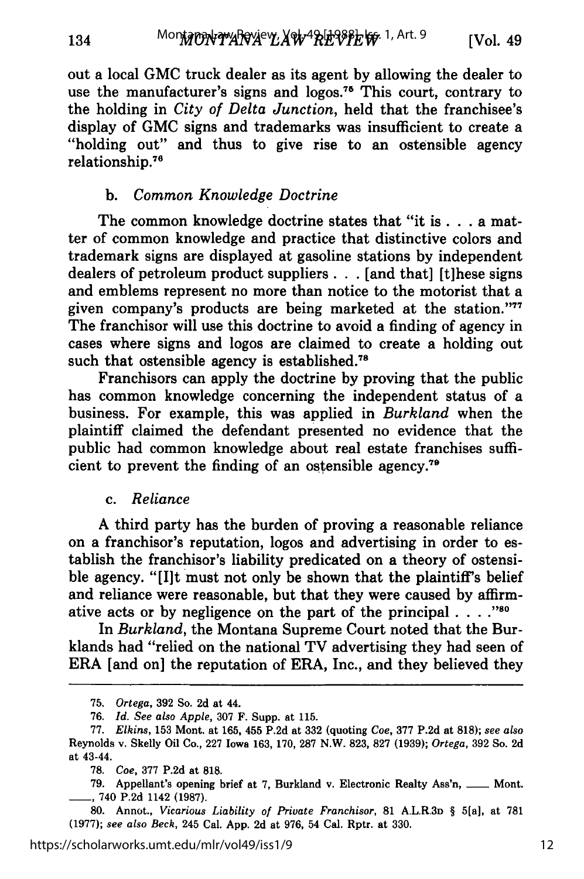out a local **GMC** truck dealer as its agent **by** allowing the dealer to use the manufacturer's signs and logos.<sup>75</sup> This court, contrary to the holding in *City of Delta Junction,* held that the franchisee's display of GMC signs and trademarks was insufficient to create a "holding out" and thus to give rise to an ostensible agency relationship.76

#### b. *Common Knowledge Doctrine*

The common knowledge doctrine states that "it is **. .** .a matter of common knowledge and practice that distinctive colors and trademark signs are displayed at gasoline stations by independent dealers of petroleum product suppliers . . . [and that] [t]hese signs and emblems represent no more than notice to the motorist that a given company's products are being marketed at the station."<sup>77</sup> The franchisor will use this doctrine to avoid a finding of agency in cases where signs and logos are claimed to create a holding out such that ostensible agency is established.<sup>78</sup>

Franchisors can apply the doctrine by proving that the public has common knowledge concerning the independent status of a business. For example, this was applied in *Burkland* when the plaintiff claimed the defendant presented no evidence that the public had common knowledge about real estate franchises sufficient to prevent the finding of an ostensible agency.<sup>79</sup>

#### c. *Reliance*

A third party has the burden of proving a reasonable reliance on a franchisor's reputation, logos and advertising in order to establish the franchisor's liability predicated on a theory of ostensible agency. "[Ilt must not only be shown that the plaintiff's belief and reliance were reasonable, but that they were caused by affirmative acts or by negligence on the part of the principal  $\ldots$ ."<sup>80</sup>

In *Burkland,* the Montana Supreme Court noted that the Burklands had "relied on the national TV advertising they had seen of ERA [and on] the reputation of ERA, Inc., and they believed they

<sup>75.</sup> *Ortega,* 392 So. 2d at 44.

<sup>76.</sup> *Id. See also Apple,* 307 F. Supp. at 115.

<sup>77.</sup> *Elkins,* 153 Mont. at 165, 455 P.2d at 332 (quoting *Coe,* 377 P.2d at 818); *see also* Reynolds v. Skelly Oil Co., 227 Iowa 163, 170, 287 N.W. 823, 827 (1939); *Ortega,* 392 So. 2d at 43-44.

<sup>78.</sup> *Coe,* 377 P.2d at 818.

<sup>79.</sup> Appellant's opening brief at 7, Burkland v. Electronic Realty Ass'n, \_\_\_ Mont. **\_\_** 740 P.2d 1142 (1987).

<sup>80.</sup> Annot., *Vicarious Liability of Private Franchisor,* 81 A.L.R.3D § 5[a], at 781 (1977); *see also Beck,* 245 Cal. App. 2d at 976, 54 Cal. Rptr. at 330.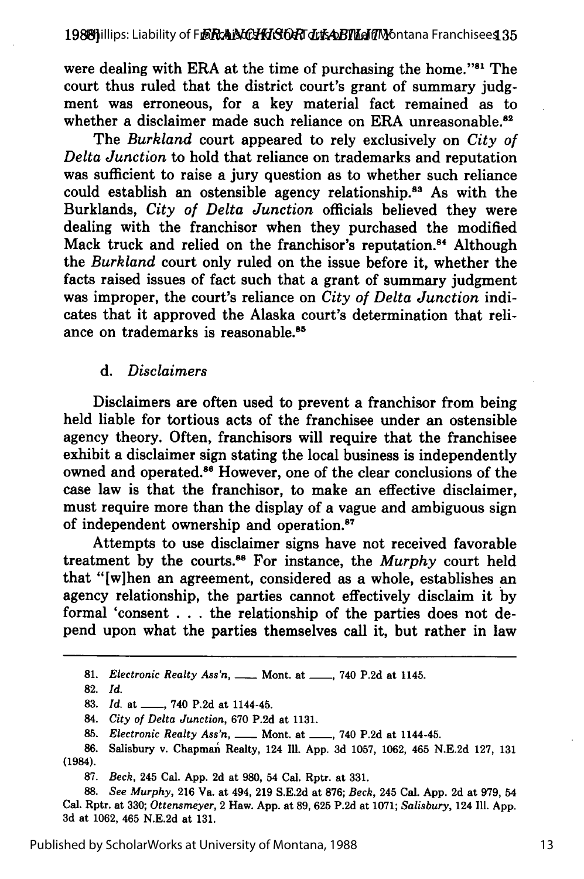were dealing with ERA at the time of purchasing the home."<sup>81</sup> The court thus ruled that the district court's grant of summary judgment was erroneous, for a key material fact remained as to whether a disclaimer made such reliance on ERA unreasonable.<sup>82</sup>

The *Burkland* court appeared to rely exclusively on *City of Delta Junction* to hold that reliance on trademarks and reputation was sufficient to raise a jury question as to whether such reliance could establish an ostensible agency relationship.<sup>83</sup> As with the Burklands, *City of Delta Junction* officials believed they were dealing with the franchisor when they purchased the modified Mack truck and relied on the franchisor's reputation.<sup>84</sup> Although the *Burkland* court only ruled on the issue before it, whether the facts raised issues of fact such that a grant of summary judgment was improper, the court's reliance on *City of Delta Junction* indicates that it approved the Alaska court's determination that reliance on trademarks is reasonable.<sup>85</sup>

#### *d. Disclaimers*

Disclaimers are often used to prevent a franchisor from being held liable for tortious acts of the franchisee under an ostensible agency theory. Often, franchisors will require that the franchisee exhibit a disclaimer sign stating the local business is independently owned and operated.86 However, one of the clear conclusions of the case law is that the franchisor, to make an effective disclaimer, must require more than the display of a vague and ambiguous sign of independent ownership and operation.87

Attempts to use disclaimer signs have not received favorable treatment by the courts.88 For instance, the *Murphy* court held that "[w]hen an agreement, considered as a whole, establishes an agency relationship, the parties cannot effectively disclaim it by formal 'consent . . .the relationship of the parties does not depend upon what the parties themselves call it, but rather in law

81. *Electronic Realty Ass'n,* \_\_\_\_ Mont. at \_\_\_\_, 740 P.2d at 1145.

**82.** *Id.*

**83.** *Id.* at **- ,** 740 **P.2d** at 1144-45.

84. *City of Delta Junction,* **670 P.2d** at **1131.**

**85.** *Electronic Realty Ass'n, \_\_* Mont. at **\_\_,** 740 **P.2d** at 1144-45.

86. Salisbury v. Chapman Realty, 124 Ill. App. 3d 1057, 1062, 465 N.E.2d 127, 131 (1984).

**87.** *Beck,* 245 Cal. **App. 2d** at **980,** 54 Cal. Rptr. at **331.**

**88.** *See Murphy,* **216** Va. at 494, **219 S.E.2d** at **876;** *Beck,* 245 Cal. **App. 2d** at **979,** 54 Cal. Rptr. at **330;** *Ottensmeyer,* 2 Haw. **App.** at **89, 625 P.2d** at **1071;** *Salisbury,* 124 **Ill. App. 3d** at **1062,** 465 **N.E.2d** at **131.**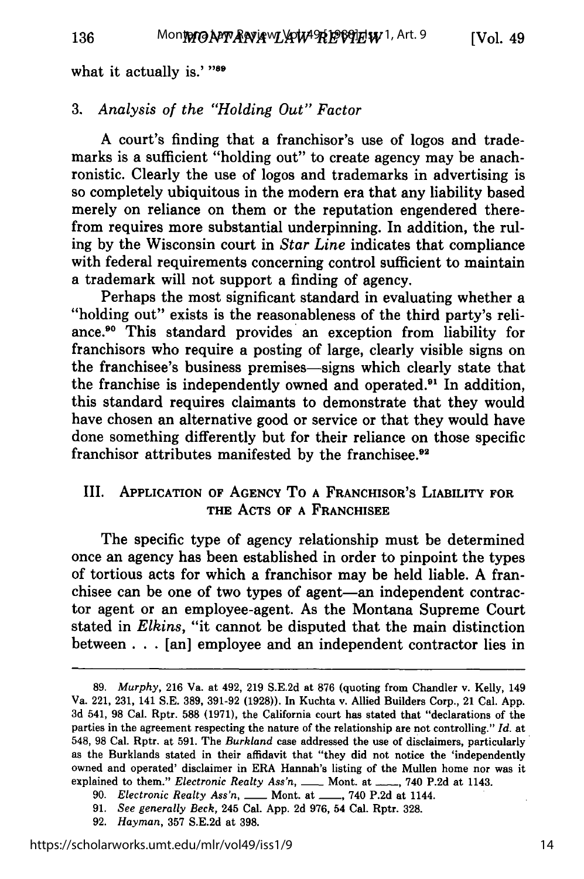what it actually is.' **"89**

#### *3. Analysis of the "Holding Out" Factor*

A court's finding that a franchisor's use of logos and trademarks is a sufficient "holding out" to create agency may be anachronistic. Clearly the use of logos and trademarks in advertising is so completely ubiquitous in the modern era that any liability based merely on reliance on them or the reputation engendered therefrom requires more substantial underpinning. In addition, the ruling by the Wisconsin court in *Star Line* indicates that compliance with federal requirements concerning control sufficient to maintain a trademark will not support a finding of agency.

Perhaps the most significant standard in evaluating whether a "holding out" exists is the reasonableness of the third party's reliance.<sup>90</sup> This standard provides an exception from liability for franchisors who require a posting of large, clearly visible signs on the franchisee's business premises-signs which clearly state that the franchise is independently owned and operated. $91$  In addition, this standard requires claimants to demonstrate that they would have chosen an alternative good or service or that they would have done something differently but for their reliance on those specific franchisor attributes manifested by the franchisee.<sup>92</sup>

#### III. **APPLICATION OF AGENCY** To **A FRANCHISOR'S LIABILITY FOR THE ACTS OF A FRANCHISEE**

The specific type of agency relationship must be determined once an agency has been established in order to pinpoint the types of tortious acts for which a franchisor may be held liable. **A** franchisee can be one of two types of agent-an independent contractor agent or an employee-agent. As the Montana Supreme Court stated in *Elkins,* "it cannot be disputed that the main distinction between **. . .**[an] employee and an independent contractor lies in

**<sup>89.</sup>** *Murphy,* **216** Va. at 492, **219 S.E.2d** at **876** (quoting from Chandler v. Kelly, 149 Va. 221, **231,** 141 **S.E. 389, 391-92 (1928)).** In Kuchta v. Allied Builders Corp., 21 Cal. **App. 3d** 541, **98** Cal. Rptr. **588 (1971),** the California court has stated that "declarations of the parties in the agreement respecting the nature of the relationship are not controlling." *Id.* at 548, **98** Cal. Rptr. at **591.** The *Burkland* case addressed the use of disclaimers, particularly as the Burklands stated in their affidavit that "they did not notice the 'independently owned and operated' disclaimer in ERA Hannah's listing of the Mullen home nor was it explained to them." *Electronic Realty Ass'n*, \_\_\_\_ Mont. at \_\_\_\_, 740 P.2d at 1143.

<sup>90.</sup> *Electronic Realty Ass'n, \_\_* Mont. at **\_\_,** 740 P.2d at 1144.

<sup>91.</sup> *See generally* Beck, 245 Cal. App. 2d 976, 54 Cal. Rptr. 328.

<sup>92.</sup> *Hayman,* 357 S.E.2d at 398.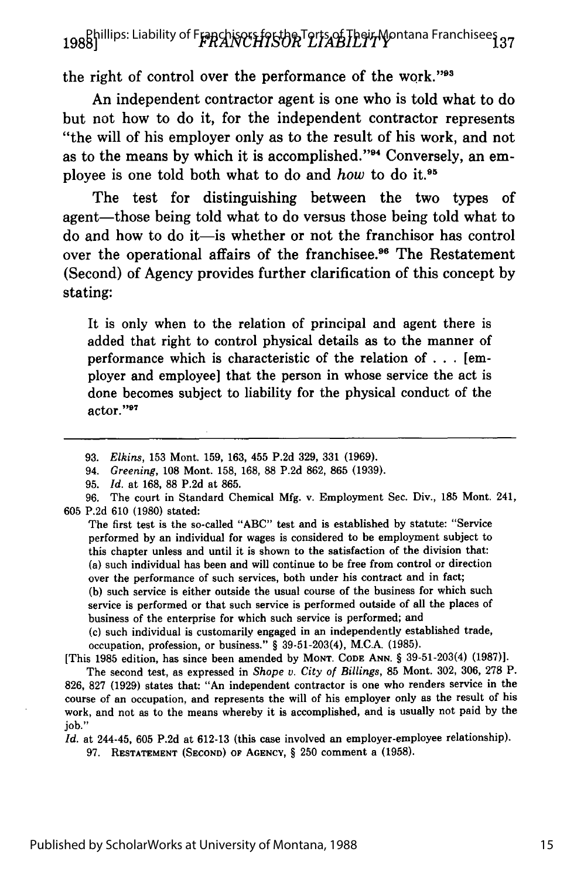# **1988]** *FRANCHISOR LIABILITY* **137** Phillips: Liability of Franchisors for the Torts of Their Montana Franchisees

the right of control over the performance of the work."<sup>93</sup>

An independent contractor agent is one who is told what to do but not how to do it, for the independent contractor represents "the will of his employer only as to the result of his work, and not as to the means by which it is accomplished."<sup>94</sup> Conversely, an employee is one told both what to do and *how* to do it.<sup>95</sup>

The test for distinguishing between the two types of agent—those being told what to do versus those being told what to do and how to do it-is whether or not the franchisor has control over the operational affairs of the franchisee.<sup>96</sup> The Restatement (Second) of Agency provides further clarification of this concept **by** stating:

It is only when to the relation of principal and agent there is added that right to control physical details as to the manner of performance which is characteristic of the relation of **...** [employer and employee] that the person in whose service the act is done becomes subject to liability for the physical conduct of the actor."<sup>97</sup>

The first test is the so-called "ABC" test and is established by statute: "Service performed by an individual for wages is considered to be employment subject to this chapter unless and until it is shown to the satisfaction of the division that: (a) such individual has been and will continue to be free from control or direction over the performance of such services, both under his contract and in fact; **(b)** such service is either outside the usual course of the business for which such service is performed or that such service is performed outside of all the places of business of the enterprise for which such service is performed; and

(c) such individual is customarily engaged in an independently established trade, occupation, profession, or business." § 39-51-203(4), M.C.A. (1985).

[This 1985 edition, has since been amended by **MONT. CODE ANN.** § 39-51-203(4) (1987)].

The second test, as expressed in *Shope v. City of Billings,* 85 Mont. 302, 306, 278 P. 826, 827 (1929) states that: "An independent contractor is one who renders service in the course of an occupation, and represents the will of his employer only as the result of his work, and not as to the means whereby it is accomplished, and is usually not paid by the job."

*Id.* at 244-45, 605 P.2d at 612-13 (this case involved an employer-employee relationship).

**97. RESTATEMENT (SECOND)** OF **AGENCY,** § 250 comment a (1958).

<sup>93.</sup> *Elkins,* 153 Mont. 159, 163, 455 P.2d 329, 331 (1969).

<sup>94.</sup> *Greening,* 108 Mont. 158, 168, 88 P.2d 862, 865 (1939).

<sup>95.</sup> *Id.* at 168, 88 P.2d at 865.

<sup>96.</sup> The court in Standard Chemical Mfg. v. Employment Sec. Div., 185 Mont. 241, 605 P.2d 610 (1980) stated: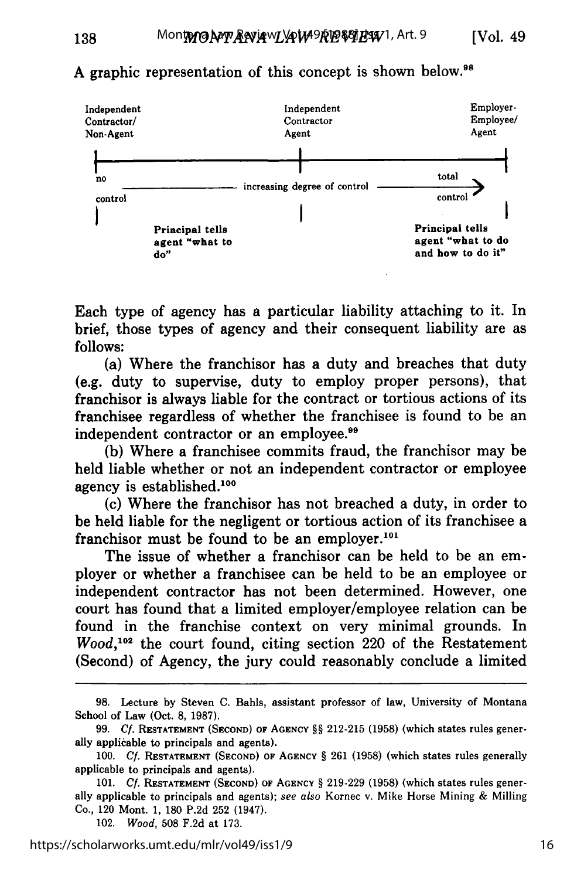

# A graphic representation of this concept is shown below.<sup>98</sup>

138

Each type of agency has a particular liability attaching to it. In brief, those types of agency and their consequent liability are as **follows:**

(a) Where the franchisor has a duty and breaches that duty (e.g. duty to supervise, duty to employ proper persons), that franchisor is always liable for the contract or tortious actions of its franchisee regardless of whether the franchisee is found to be an independent contractor or an employee.<sup>99</sup>

**(b)** Where a franchisee commits fraud, the franchisor may be held liable whether or not an independent contractor or employee agency is established.<sup>100</sup>

(c) Where the franchisor has not breached a duty, in order to be held liable for the negligent or tortious action of its franchisee a franchisor must be found to be an employer.<sup>101</sup>

The issue of whether a franchisor can be held to be an employer or whether a franchisee can be held to be an employee or independent contractor has not been determined. However, one court has found that a limited employer/employee relation can be found in the franchise context on very minimal grounds. In *Wood*,<sup>102</sup> the court found, citing section 220 of the Restatement (Second) of Agency, the jury could reasonably conclude a limited

**<sup>98.</sup>** Lecture **by** Steven **C.** Bahls, assistant professor of law, University of Montana School of Law (Oct. **8, 1987).**

**<sup>99.</sup> Cf. RESTATEMENT (SECOND) OF AGENCY** §§ 212-215 **(1958)** (which states rules generally applicable to principals and agents).

**<sup>100.</sup> Cf. RESTATEMENT (SECOND)** OF **AGENCY** § **261 (1958)** (which states rules generally applicable to principals and agents).

<sup>101.</sup> *Cf.* **RESTATEMENT (SECOND)** OF AGENCY § **219-229 (1958)** (which states rules generally applicable to principals and agents); *see also* Kornec v. Mike Horse Mining **&** Milling Co., 120 Mont. **1, 180 P.2d 252** (1947).

<sup>102.</sup> *Wood,* **508 F.2d** at **173.**